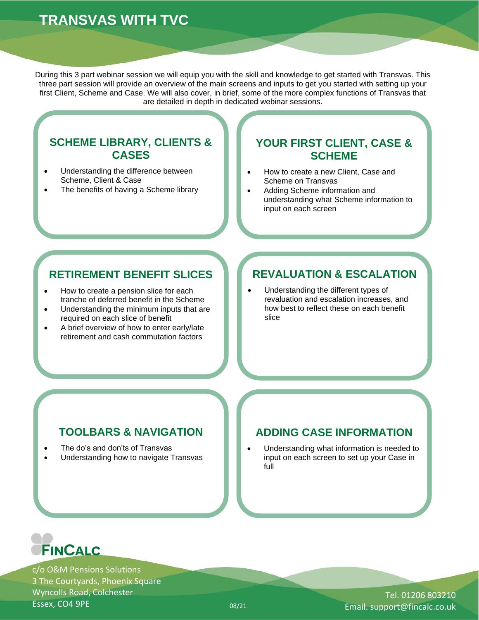# **TRANSVAS WITH TVC**

During this 3 part webinar session we will equip you with the skill and knowledge to get started with Transvas. This three part session will provide an overview of the main screens and inputs to get you started with setting up your first Client, Scheme and Case. We will also cover, in brief, some of the more complex functions of Transvas that are detailed in depth in dedicated webinar sessions.

#### **SCHEME LIBRARY, CLIENTS & CASES**

- Understanding the difference between Scheme, Client & Case
- The benefits of having a Scheme library

### **YOUR FIRST CLIENT, CASE & SCHEME**

- How to create a new Client, Case and Scheme on Transvas
- Adding Scheme information and understanding what Scheme information to input on each screen

### **RETIREMENT BENEFIT SLICES**

- How to create a pension slice for each tranche of deferred benefit in the Scheme
- Understanding the minimum inputs that are required on each slice of benefit
- A brief overview of how to enter early/late retirement and cash commutation factors

## **REVALUATION & ESCALATION**

• Understanding the different types of revaluation and escalation increases, and how best to reflect these on each benefit slice

## **TOOLBARS & NAVIGATION**

- The do's and don'ts of Transvas
- Understanding how to navigate Transvas

## **ADDING CASE INFORMATION**

• Understanding what information is needed to input on each screen to set up your Case in full



c/o O&M Pensions Solutions 3 The Courtyards, Phoenix Square Wyncolls Road, Colchester Essex, CO4 9PE 08/21

Tel. 01206 803210 Email. support@fincalc.co.uk